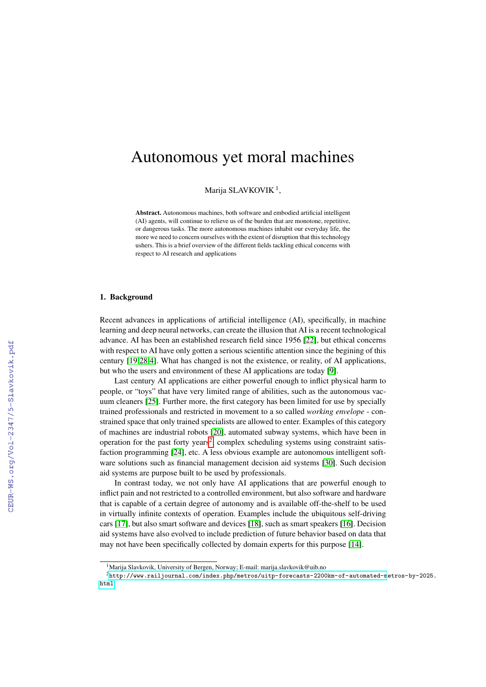# Autonomous yet moral machines

Marija SLAVKOVIK<sup>1</sup>,

Abstract. Autonomous machines, both software and embodied artificial intelligent (AI) agents, will continue to relieve us of the burden that are monotone, repetitive, or dangerous tasks. The more autonomous machines inhabit our everyday life, the more we need to concern ourselves with the extent of disruption that this technology ushers. This is a brief overview of the different fields tackling ethical concerns with respect to AI research and applications

#### 1. Background

Recent advances in applications of artificial intelligence (AI), specifically, in machine learning and deep neural networks, can create the illusion that AI is a recent technological advance. AI has been an established research field since 1956 [\[22\]](#page--1-0), but ethical concerns with respect to AI have only gotten a serious scientific attention since the begining of this century [\[19](#page--1-1)[,28](#page--1-2)[,4\]](#page--1-3). What has changed is not the existence, or reality, of AI applications, but who the users and environment of these AI applications are today [\[9\]](#page--1-4).

Last century AI applications are either powerful enough to inflict physical harm to people, or "toys" that have very limited range of abilities, such as the autonomous vacuum cleaners [\[25\]](#page--1-5). Further more, the first category has been limited for use by specially trained professionals and restricted in movement to a so called *working envelope* - constrained space that only trained specialists are allowed to enter. Examples of this category of machines are industrial robots [\[20\]](#page--1-6), automated subway systems, which have been in operation for the past forty years<sup>[2](#page-0-0)</sup>, complex scheduling systems using constraint satisfaction programming [\[24\]](#page--1-7), etc. A less obvious example are autonomous intelligent software solutions such as financial management decision aid systems [\[30\]](#page--1-8). Such decision aid systems are purpose built to be used by professionals.

In contrast today, we not only have AI applications that are powerful enough to inflict pain and not restricted to a controlled environment, but also software and hardware that is capable of a certain degree of autonomy and is available off-the-shelf to be used in virtually infinite contexts of operation. Examples include the ubiquitous self-driving cars [\[17\]](#page--1-9), but also smart software and devices [\[18\]](#page--1-10), such as smart speakers [\[16\]](#page--1-11). Decision aid systems have also evolved to include prediction of future behavior based on data that may not have been specifically collected by domain experts for this purpose [\[14\]](#page--1-12).

<span id="page-0-0"></span><sup>&</sup>lt;sup>1</sup>Marija Slavkovik, University of Bergen, Norway; E-mail: marija.slavkovik@uib.no

 $2$ [http://www.railjournal.com/index.php/metros/uitp-forecasts-2200km-of-automated-m](http://www.railjournal.com/index.php/metros/uitp-forecasts-2200km-of-automated-metros-by-2025.html)etros-by-2025. [html](http://www.railjournal.com/index.php/metros/uitp-forecasts-2200km-of-automated-metros-by-2025.html)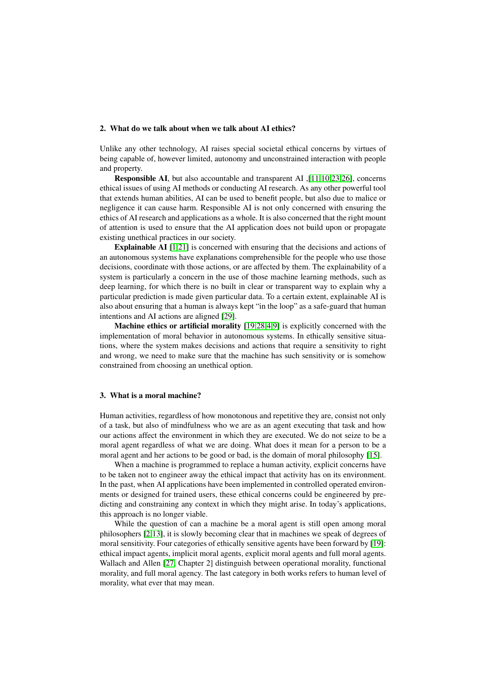# 2. What do we talk about when we talk about AI ethics?

Unlike any other technology, AI raises special societal ethical concerns by virtues of being capable of, however limited, autonomy and unconstrained interaction with people and property.

Responsible AI, but also accountable and transparent AI ,[\[11,](#page-3-0)[10,](#page-3-1)[23,](#page-3-2)[26\]](#page-4-0), concerns ethical issues of using AI methods or conducting AI research. As any other powerful tool that extends human abilities, AI can be used to benefit people, but also due to malice or negligence it can cause harm. Responsible AI is not only concerned with ensuring the ethics of AI research and applications as a whole. It is also concerned that the right mount of attention is used to ensure that the AI application does not build upon or propagate existing unethical practices in our society.

Explainable AI [\[1](#page-3-3)[,21\]](#page-3-4) is concerned with ensuring that the decisions and actions of an autonomous systems have explanations comprehensible for the people who use those decisions, coordinate with those actions, or are affected by them. The explainability of a system is particularly a concern in the use of those machine learning methods, such as deep learning, for which there is no built in clear or transparent way to explain why a particular prediction is made given particular data. To a certain extent, explainable AI is also about ensuring that a human is always kept "in the loop" as a safe-guard that human intentions and AI actions are aligned [\[29\]](#page-4-1).

Machine ethics or artificial morality [\[19,](#page-3-5)[28](#page-4-2)[,4,](#page-3-6)[9\]](#page-3-7) is explicitly concerned with the implementation of moral behavior in autonomous systems. In ethically sensitive situations, where the system makes decisions and actions that require a sensitivity to right and wrong, we need to make sure that the machine has such sensitivity or is somehow constrained from choosing an unethical option.

## 3. What is a moral machine?

Human activities, regardless of how monotonous and repetitive they are, consist not only of a task, but also of mindfulness who we are as an agent executing that task and how our actions affect the environment in which they are executed. We do not seize to be a moral agent regardless of what we are doing. What does it mean for a person to be a moral agent and her actions to be good or bad, is the domain of moral philosophy [\[15\]](#page-3-8).

When a machine is programmed to replace a human activity, explicit concerns have to be taken not to engineer away the ethical impact that activity has on its environment. In the past, when AI applications have been implemented in controlled operated environments or designed for trained users, these ethical concerns could be engineered by predicting and constraining any context in which they might arise. In today's applications, this approach is no longer viable.

While the question of can a machine be a moral agent is still open among moral philosophers [\[2,](#page-3-9)[13\]](#page-3-10), it is slowly becoming clear that in machines we speak of degrees of moral sensitivity. Four categories of ethically sensitive agents have been forward by [\[19\]](#page-3-5): ethical impact agents, implicit moral agents, explicit moral agents and full moral agents. Wallach and Allen [\[27,](#page-4-3) Chapter 2] distinguish between operational morality, functional morality, and full moral agency. The last category in both works refers to human level of morality, what ever that may mean.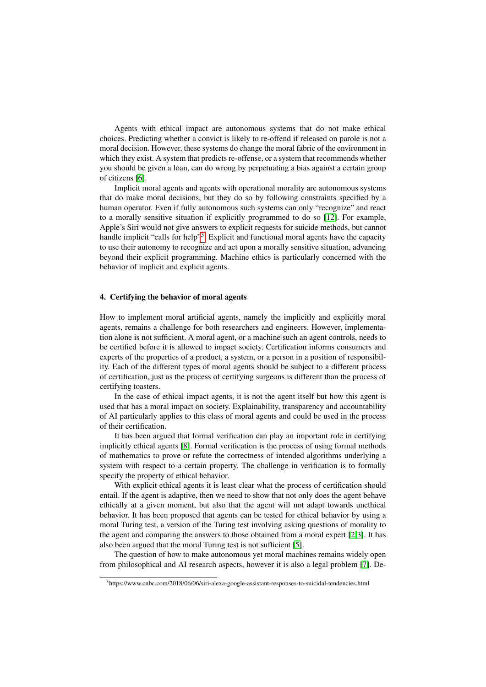Agents with ethical impact are autonomous systems that do not make ethical choices. Predicting whether a convict is likely to re-offend if released on parole is not a moral decision. However, these systems do change the moral fabric of the environment in which they exist. A system that predicts re-offense, or a system that recommends whether you should be given a loan, can do wrong by perpetuating a bias against a certain group of citizens [\[6\]](#page-3-11).

Implicit moral agents and agents with operational morality are autonomous systems that do make moral decisions, but they do so by following constraints specified by a human operator. Even if fully autonomous such systems can only "recognize" and react to a morally sensitive situation if explicitly programmed to do so [\[12\]](#page-3-12). For example, Apple's Siri would not give answers to explicit requests for suicide methods, but cannot handle implicit "calls for help"<sup>[3](#page-2-0)</sup>. Explicit and functional moral agents have the capacity to use their autonomy to recognize and act upon a morally sensitive situation, advancing beyond their explicit programming. Machine ethics is particularly concerned with the behavior of implicit and explicit agents.

#### 4. Certifying the behavior of moral agents

How to implement moral artificial agents, namely the implicitly and explicitly moral agents, remains a challenge for both researchers and engineers. However, implementation alone is not sufficient. A moral agent, or a machine such an agent controls, needs to be certified before it is allowed to impact society. Certification informs consumers and experts of the properties of a product, a system, or a person in a position of responsibility. Each of the different types of moral agents should be subject to a different process of certification, just as the process of certifying surgeons is different than the process of certifying toasters.

In the case of ethical impact agents, it is not the agent itself but how this agent is used that has a moral impact on society. Explainability, transparency and accountability of AI particularly applies to this class of moral agents and could be used in the process of their certification.

It has been argued that formal verification can play an important role in certifying implicitly ethical agents [\[8\]](#page-3-13). Formal verification is the process of using formal methods of mathematics to prove or refute the correctness of intended algorithms underlying a system with respect to a certain property. The challenge in verification is to formally specify the property of ethical behavior.

With explicit ethical agents it is least clear what the process of certification should entail. If the agent is adaptive, then we need to show that not only does the agent behave ethically at a given moment, but also that the agent will not adapt towards unethical behavior. It has been proposed that agents can be tested for ethical behavior by using a moral Turing test, a version of the Turing test involving asking questions of morality to the agent and comparing the answers to those obtained from a moral expert [\[2,](#page-3-9)[3\]](#page-3-14). It has also been argued that the moral Turing test is not sufficient [\[5\]](#page-3-15).

The question of how to make autonomous yet moral machines remains widely open from philosophical and AI research aspects, however it is also a legal problem [\[7\]](#page-3-16). De-

<span id="page-2-0"></span><sup>&</sup>lt;sup>3</sup>https://www.cnbc.com/2018/06/06/siri-alexa-google-assistant-responses-to-suicidal-tendencies.html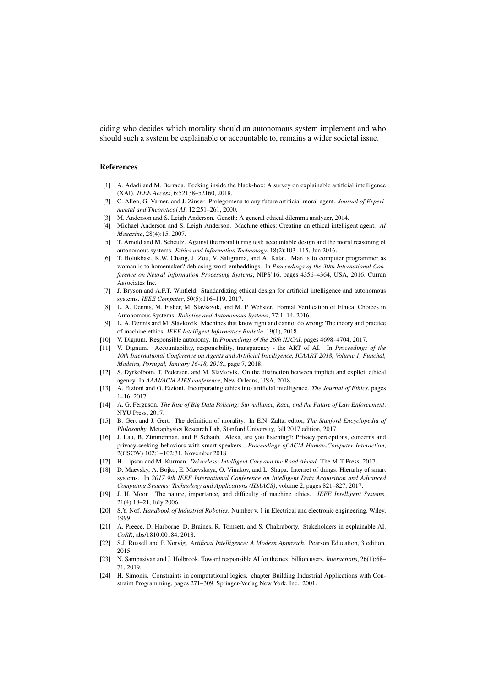ciding who decides which morality should an autonomous system implement and who should such a system be explainable or accountable to, remains a wider societal issue.

## References

- <span id="page-3-3"></span>[1] A. Adadi and M. Berrada. Peeking inside the black-box: A survey on explainable artificial intelligence (XAI). *IEEE Access*, 6:52138–52160, 2018.
- <span id="page-3-9"></span>[2] C. Allen, G. Varner, and J. Zinser. Prolegomena to any future artificial moral agent. *Journal of Experimental and Theoretical AI*, 12:251–261, 2000.
- <span id="page-3-14"></span>[3] M. Anderson and S. Leigh Anderson. Geneth: A general ethical dilemma analyzer, 2014.
- <span id="page-3-6"></span>[4] Michael Anderson and S. Leigh Anderson. Machine ethics: Creating an ethical intelligent agent. *AI Magazine*, 28(4):15, 2007.
- <span id="page-3-15"></span>[5] T. Arnold and M. Scheutz. Against the moral turing test: accountable design and the moral reasoning of autonomous systems. *Ethics and Information Technology*, 18(2):103–115, Jun 2016.
- <span id="page-3-11"></span>[6] T. Bolukbasi, K.W. Chang, J. Zou, V. Saligrama, and A. Kalai. Man is to computer programmer as woman is to homemaker? debiasing word embeddings. In *Proceedings of the 30th International Conference on Neural Information Processing Systems*, NIPS'16, pages 4356–4364, USA, 2016. Curran Associates Inc.
- <span id="page-3-16"></span>[7] J. Bryson and A.F.T. Winfield. Standardizing ethical design for artificial intelligence and autonomous systems. *IEEE Computer*, 50(5):116–119, 2017.
- <span id="page-3-13"></span>[8] L. A. Dennis, M. Fisher, M. Slavkovik, and M. P. Webster. Formal Verification of Ethical Choices in Autonomous Systems. *Robotics and Autonomous Systems*, 77:1–14, 2016.
- <span id="page-3-7"></span>[9] L. A. Dennis and M. Slavkovik. Machines that know right and cannot do wrong: The theory and practice of machine ethics. *IEEE Intelligent Informatics Bulletin*, 19(1), 2018.
- <span id="page-3-1"></span>[10] V. Dignum. Responsible autonomy. In *Proceedings of the 26th IIJCAI*, pages 4698–4704, 2017.
- <span id="page-3-0"></span>[11] V. Dignum. Accountability, responsibility, transparency - the ART of AI. In *Proceedings of the 10th International Conference on Agents and Artificial Intelligence, ICAART 2018, Volume 1, Funchal, Madeira, Portugal, January 16-18, 2018.*, page 7, 2018.
- <span id="page-3-12"></span>[12] S. Dyrkolbotn, T. Pedersen, and M. Slavkovik. On the distinction between implicit and explicit ethical agency. In *AAAI/ACM AIES conference*, New Orleans, USA, 2018.
- <span id="page-3-10"></span>[13] A. Etzioni and O. Etzioni. Incorporating ethics into artificial intelligence. *The Journal of Ethics*, pages 1–16, 2017.
- [14] A. G. Ferguson. *The Rise of Big Data Policing: Surveillance, Race, and the Future of Law Enforcement*. NYU Press, 2017.
- <span id="page-3-8"></span>[15] B. Gert and J. Gert. The definition of morality. In E.N. Zalta, editor, *The Stanford Encyclopedia of Philosophy*. Metaphysics Research Lab, Stanford University, fall 2017 edition, 2017.
- [16] J. Lau, B. Zimmerman, and F. Schaub. Alexa, are you listening?: Privacy perceptions, concerns and privacy-seeking behaviors with smart speakers. *Proceedings of ACM Human-Computer Interaction*, 2(CSCW):102:1–102:31, November 2018.
- [17] H. Lipson and M. Kurman. *Driverless: Intelligent Cars and the Road Ahead*. The MIT Press, 2017.
- [18] D. Maevsky, A. Bojko, E. Maevskaya, O. Vinakov, and L. Shapa. Internet of things: Hierarhy of smart systems. In *2017 9th IEEE International Conference on Intelligent Data Acquisition and Advanced Computing Systems: Technology and Applications (IDAACS)*, volume 2, pages 821–827, 2017.
- <span id="page-3-5"></span>[19] J. H. Moor. The nature, importance, and difficulty of machine ethics. *IEEE Intelligent Systems*, 21(4):18–21, July 2006.
- [20] S.Y. Nof. *Handbook of Industrial Robotics*. Number v. 1 in Electrical and electronic engineering. Wiley, 1999.
- <span id="page-3-4"></span>[21] A. Preece, D. Harborne, D. Braines, R. Tomsett, and S. Chakraborty. Stakeholders in explainable AI. *CoRR*, abs/1810.00184, 2018.
- [22] S.J. Russell and P. Norvig. *Artificial Intelligence: A Modern Approach*. Pearson Education, 3 edition, 2015.
- <span id="page-3-2"></span>[23] N. Sambasivan and J. Holbrook. Toward responsible AI for the next billion users. *Interactions*, 26(1):68– 71, 2019.
- [24] H. Simonis. Constraints in computational logics. chapter Building Industrial Applications with Constraint Programming, pages 271–309. Springer-Verlag New York, Inc., 2001.